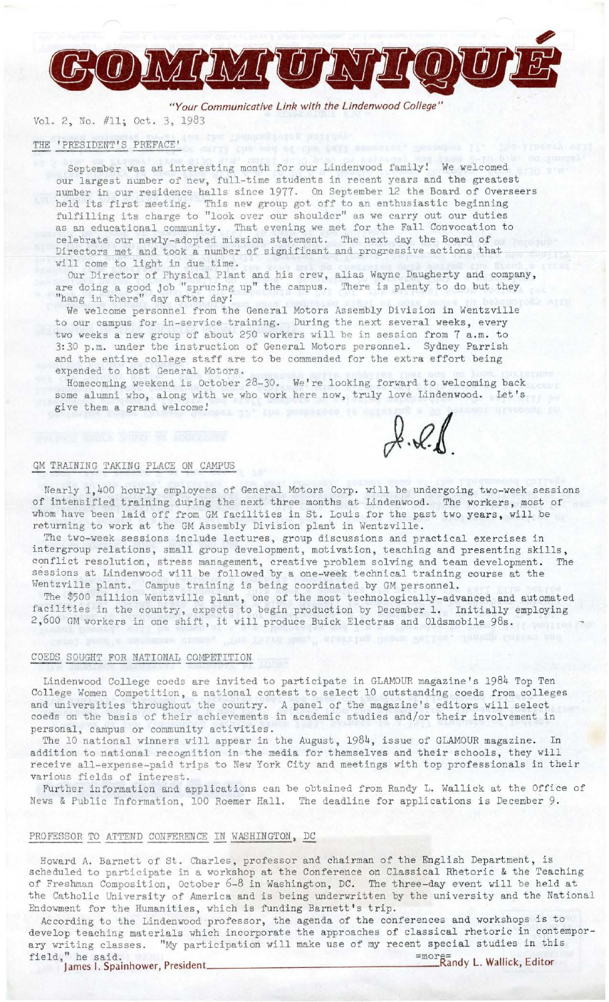

BO MIMIURTIQUI

# Vol. 2, No. #11; Oct. 3, 1983

#### THE 'PRESIDENT'S PREFACE'

September was an interesting month for our Lindenwood family! We welcomed our largest number of new, full-time students in recent years and the greatest number in our residence halls since 1977. On September 12 the Board of Overseers held its first meeting. This new group got off to an enthusiastic beginning fulfilling its charge to "look over our shoulder" as we carry out our duties as an educational community. That evening we met for the Fall Convocation to celebrate our newly-adopted mission statement. The next day the Board of Directors met and took a number of significant and progressive actions that will come to light in due time.

Our Director of Physical Plant and his crew, alias Wayne Daugherty and company,<br>e doing a good job "sprucing up" the campus. There is plenty to do but they are doing a good job "sprucing up" the campus. "hang in there" day after day!

We welcome personnel from the General Motors Assembly Division in Wentzville to our campus for in-service training. During the next several weeks, every two weeks a new group of about 250 workers will be in session from 7 a.m. to 3: 30 p.m. under the instruction of General Motors personnel. Sydney Parrish and the entire college staff are to be commended for the extra effort being expended to host General Motors.

Homecoming weekend is October 28-30. We're looking forward to welcoming back some alumni who, along with we who work here now, truly love Lindenwood. Let's give them a grand welcome!

 $2.21$ 

## GM TRAINING TAKING PLACE ON CAMPUS

Nearly 1,400 hourly employees of General Motors Corp. will be undergoing two-week sessions of intensified training during the next three months at Lindenwood. The workers, most of whom have been laid off from GM facilities in St. Louis for the past two years, will be returning to work at the GM Assembly Division plant in Wentzville.

The two-week sessions include lectures, group discussions and practical exercises in intergroup relations, small group development, motivation, teaching and presenting skills, conflict resolution, stress management, creative problem solving and team development. The sessions at Lindenwood will be followed by a one-week technical training course at the Wentzville plant. Campus training is being coordinated by GM personnel.

The \$500 million Wentzville plant, one of the most technologically-advanced and automated facilities in the country, expects to begin production by December 1. Initially employing 2,600 GM workers in one shift, it will produce Buick Electras and Oldsmobile 98s.

#### COEDS SOUGHT FOR NATIONAL COMPETITION

Lindenwood College coeds are invited to participate in GLAMOUR magazine 's 1984 Top Ten College Women Competition, a national contest to select 10 outstanding coeds from colleges and universities throughout the country. A panel of the magazine's editors will select coeds on the basis of their achievements in academic studies and/or their involvement in personal, campus or community activities.

The 10 national winners will appear in the August, 1984, issue of GLAMOUR magazine. In addition to national recognition in the media for themselves and their schools, they will receive all-expense-paid trips to New York City and meetings with top professionals in their various fields of interest.

Further information and applications can be obtained from Randy L. Wallick at the Office of News & Public Information, 100 Roemer Hall. The deadline for applications is December 9.

#### PROFESSOR TO ATTEND CONFERENCE IN WASHINGTON, DC

Howard A. Barnett of St. Charles, professor and chairman of the English Department, is scheduled to participate in a workshop at the Conference on Classical Rhetoric & the Teaching of Freshman Composition, October *6-8* in Washington, DC. The three-day event will be held at the Catholic University of America and is being underwritten by the university and the National Endowment for the Humanities, which is funding Barnett's trip.

According to the Lindenwood professor, the agenda of the conferences and workshops is to develop teaching materials which incorporate the approaches of classical rhetoric in contemporary writing classes. "My participation will make use of my recent special studies in this field," he said. =more and letter and the said. =more and the said. =more and the said. =more and y L. Wallick, Editor